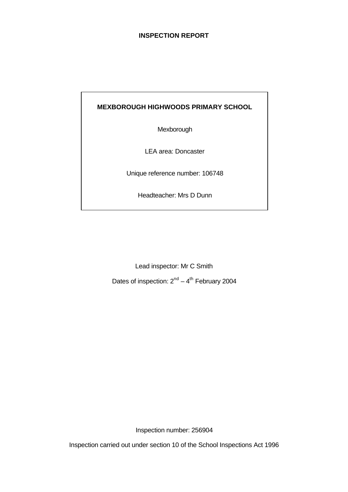# **INSPECTION REPORT**

# **MEXBOROUGH HIGHWOODS PRIMARY SCHOOL**

Mexborough

LEA area: Doncaster

Unique reference number: 106748

Headteacher: Mrs D Dunn

Lead inspector: Mr C Smith

Dates of inspection:  $2^{nd} - 4^{th}$  February 2004

Inspection number: 256904

Inspection carried out under section 10 of the School Inspections Act 1996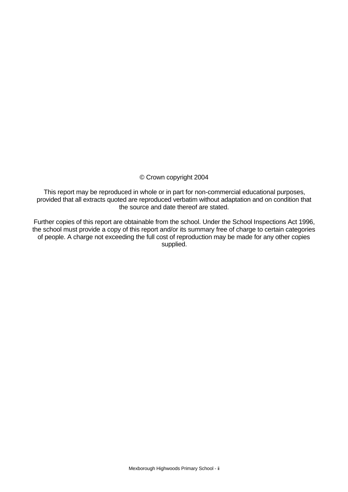#### © Crown copyright 2004

This report may be reproduced in whole or in part for non-commercial educational purposes, provided that all extracts quoted are reproduced verbatim without adaptation and on condition that the source and date thereof are stated.

Further copies of this report are obtainable from the school. Under the School Inspections Act 1996, the school must provide a copy of this report and/or its summary free of charge to certain categories of people. A charge not exceeding the full cost of reproduction may be made for any other copies supplied.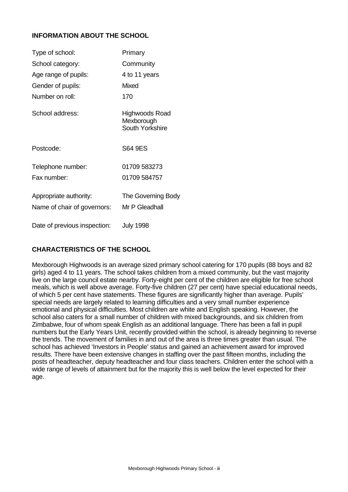# **INFORMATION ABOUT THE SCHOOL**

| Type of school:                                       | Primary                                         |
|-------------------------------------------------------|-------------------------------------------------|
| School category:                                      | Community                                       |
| Age range of pupils:                                  | 4 to 11 years                                   |
| Gender of pupils:                                     | <b>Mixed</b>                                    |
| Number on roll:                                       | 170                                             |
| School address:                                       | Highwoods Road<br>Mexborough<br>South Yorkshire |
| Postcode:                                             | S64 9ES                                         |
| Telephone number:                                     | 01709 583273                                    |
| Fax number:                                           | 01709 584757                                    |
| Appropriate authority:<br>Name of chair of governors: | The Governing Body<br>Mr P Gleadhall            |
| Date of previous inspection:                          | <b>July 1998</b>                                |

# **CHARACTERISTICS OF THE SCHOOL**

Mexborough Highwoods is an average sized primary school catering for 170 pupils (88 boys and 82 girls) aged 4 to 11 years. The school takes children from a mixed community, but the vast majority live on the large council estate nearby. Forty-eight per cent of the children are eligible for free school meals, which is well above average. Forty-five children (27 per cent) have special educational needs, of which 5 per cent have statements. These figures are significantly higher than average. Pupils' special needs are largely related to learning difficulties and a very small number experience emotional and physical difficulties. Most children are white and English speaking. However, the school also caters for a small number of children with mixed backgrounds, and six children from Zimbabwe, four of whom speak English as an additional language. There has been a fall in pupil numbers but the Early Years Unit, recently provided within the school, is already beginning to reverse the trends. The movement of families in and out of the area is three times greater than usual. The school has achieved 'Investors in People' status and gained an achievement award for improved results. There have been extensive changes in staffing over the past fifteen months, including the posts of headteacher, deputy headteacher and four class teachers. Children enter the school with a wide range of levels of attainment but for the majority this is well below the level expected for their age.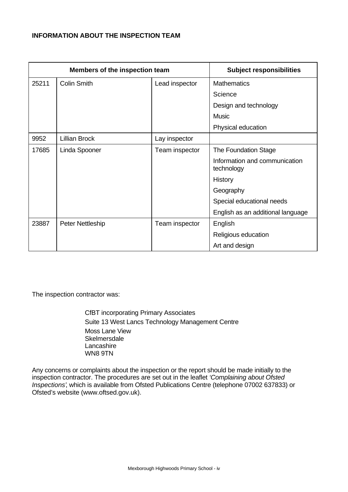# **INFORMATION ABOUT THE INSPECTION TEAM**

|       | Members of the inspection team | <b>Subject responsibilities</b> |                                             |
|-------|--------------------------------|---------------------------------|---------------------------------------------|
| 25211 | <b>Colin Smith</b>             | Lead inspector                  | <b>Mathematics</b>                          |
|       |                                |                                 | Science                                     |
|       |                                |                                 | Design and technology                       |
|       |                                |                                 | <b>Music</b>                                |
|       |                                |                                 | Physical education                          |
| 9952  | <b>Lillian Brock</b>           | Lay inspector                   |                                             |
| 17685 | Linda Spooner                  | Team inspector                  | The Foundation Stage                        |
|       |                                |                                 | Information and communication<br>technology |
|       |                                |                                 | History                                     |
|       |                                |                                 | Geography                                   |
|       |                                |                                 | Special educational needs                   |
|       |                                |                                 | English as an additional language           |
| 23887 | <b>Peter Nettleship</b>        | Team inspector                  | English                                     |
|       |                                |                                 | Religious education                         |
|       |                                |                                 | Art and design                              |

The inspection contractor was:

CfBT incorporating Primary Associates Suite 13 West Lancs Technology Management Centre Moss Lane View **Skelmersdale Lancashire** WN8 9TN

Any concerns or complaints about the inspection or the report should be made initially to the inspection contractor. The procedures are set out in the leaflet *'Complaining about Ofsted Inspections'*, which is available from Ofsted Publications Centre (telephone 07002 637833) or Ofsted's website (www.oftsed.gov.uk).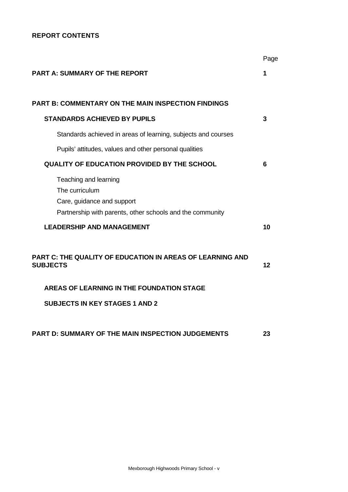# **REPORT CONTENTS**

|                                                                                                                                    | Page |
|------------------------------------------------------------------------------------------------------------------------------------|------|
| <b>PART A: SUMMARY OF THE REPORT</b>                                                                                               | 1    |
| <b>PART B: COMMENTARY ON THE MAIN INSPECTION FINDINGS</b>                                                                          |      |
|                                                                                                                                    |      |
| <b>STANDARDS ACHIEVED BY PUPILS</b>                                                                                                | 3    |
| Standards achieved in areas of learning, subjects and courses                                                                      |      |
| Pupils' attitudes, values and other personal qualities                                                                             |      |
| <b>QUALITY OF EDUCATION PROVIDED BY THE SCHOOL</b>                                                                                 | 6    |
| Teaching and learning<br>The curriculum<br>Care, guidance and support<br>Partnership with parents, other schools and the community |      |
| <b>LEADERSHIP AND MANAGEMENT</b>                                                                                                   | 10   |
| <b>PART C: THE QUALITY OF EDUCATION IN AREAS OF LEARNING AND</b><br><b>SUBJECTS</b>                                                | 12   |
| <b>AREAS OF LEARNING IN THE FOUNDATION STAGE</b>                                                                                   |      |
| <b>SUBJECTS IN KEY STAGES 1 AND 2</b>                                                                                              |      |
| <b>PART D: SUMMARY OF THE MAIN INSPECTION JUDGEMENTS</b>                                                                           | 23   |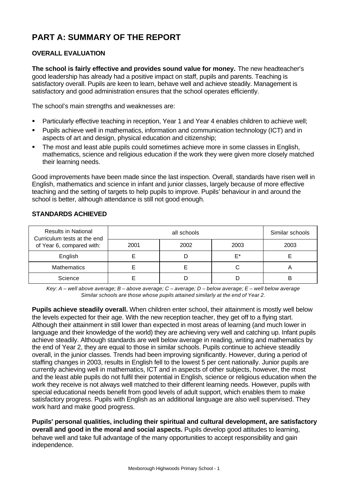# **PART A: SUMMARY OF THE REPORT**

# **OVERALL EVALUATION**

**The school is fairly effective and provides sound value for money.** The new headteacher's good leadership has already had a positive impact on staff, pupils and parents. Teaching is satisfactory overall. Pupils are keen to learn, behave well and achieve steadily. Management is satisfactory and good administration ensures that the school operates efficiently.

The school's main strengths and weaknesses are:

- ß Particularly effective teaching in reception, Year 1 and Year 4 enables children to achieve well;
- ß Pupils achieve well in mathematics, information and communication technology (ICT) and in aspects of art and design, physical education and citizenship;
- The most and least able pupils could sometimes achieve more in some classes in English, mathematics, science and religious education if the work they were given more closely matched their learning needs.

Good improvements have been made since the last inspection. Overall, standards have risen well in English, mathematics and science in infant and junior classes, largely because of more effective teaching and the setting of targets to help pupils to improve. Pupils' behaviour in and around the school is better, although attendance is still not good enough.

| <b>Results in National</b><br>Curriculum tests at the end |      | Similar schools |      |      |
|-----------------------------------------------------------|------|-----------------|------|------|
| of Year 6, compared with:                                 | 2001 | 2002            | 2003 | 2003 |
| English                                                   |      |                 | F*   |      |
| <b>Mathematics</b>                                        |      |                 |      |      |
| Science                                                   |      |                 |      | R    |

# **STANDARDS ACHIEVED**

*Key: A – well above average; B – above average; C – average; D – below average; E – well below average Similar schools are those whose pupils attained similarly at the end of Year 2.*

**Pupils achieve steadily overall.** When children enter school, their attainment is mostly well below the levels expected for their age. With the new reception teacher, they get off to a flying start. Although their attainment in still lower than expected in most areas of learning (and much lower in language and their knowledge of the world) they are achieving very well and catching up. Infant pupils achieve steadily. Although standards are well below average in reading, writing and mathematics by the end of Year 2, they are equal to those in similar schools. Pupils continue to achieve steadily overall, in the junior classes. Trends had been improving significantly. However, during a period of staffing changes in 2003, results in English fell to the lowest 5 per cent nationally. Junior pupils are currently achieving well in mathematics, ICT and in aspects of other subjects, however, the most and the least able pupils do not fulfil their potential in English, science or religious education when the work they receive is not always well matched to their different learning needs. However, pupils with special educational needs benefit from good levels of adult support, which enables them to make satisfactory progress. Pupils with English as an additional language are also well supervised. They work hard and make good progress.

**Pupils' personal qualities, including their spiritual and cultural development, are satisfactory overall and good in the moral and social aspects.** Pupils develop good attitudes to learning, behave well and take full advantage of the many opportunities to accept responsibility and gain independence.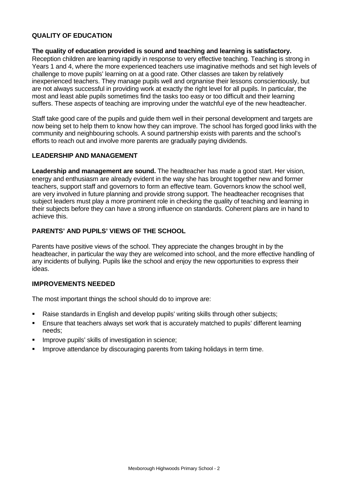# **QUALITY OF EDUCATION**

#### **The quality of education provided is sound and teaching and learning is satisfactory.**

Reception children are learning rapidly in response to very effective teaching. Teaching is strong in Years 1 and 4, where the more experienced teachers use imaginative methods and set high levels of challenge to move pupils' learning on at a good rate. Other classes are taken by relatively inexperienced teachers. They manage pupils well and orgnanise their lessons conscientiously, but are not always successful in providing work at exactly the right level for all pupils. In particular, the most and least able pupils sometimes find the tasks too easy or too difficult and their learning suffers. These aspects of teaching are improving under the watchful eye of the new headteacher.

Staff take good care of the pupils and guide them well in their personal development and targets are now being set to help them to know how they can improve. The school has forged good links with the community and neighbouring schools. A sound partnership exists with parents and the school's efforts to reach out and involve more parents are gradually paying dividends.

#### **LEADERSHIP AND MANAGEMENT**

**Leadership and management are sound.** The headteacher has made a good start. Her vision, energy and enthusiasm are already evident in the way she has brought together new and former teachers, support staff and governors to form an effective team. Governors know the school well, are very involved in future planning and provide strong support. The headteacher recognises that subject leaders must play a more prominent role in checking the quality of teaching and learning in their subjects before they can have a strong influence on standards. Coherent plans are in hand to achieve this.

#### **PARENTS' AND PUPILS' VIEWS OF THE SCHOOL**

Parents have positive views of the school. They appreciate the changes brought in by the headteacher, in particular the way they are welcomed into school, and the more effective handling of any incidents of bullying. Pupils like the school and enjoy the new opportunities to express their ideas.

#### **IMPROVEMENTS NEEDED**

The most important things the school should do to improve are:

- ß Raise standards in English and develop pupils' writing skills through other subjects;
- ß Ensure that teachers always set work that is accurately matched to pupils' different learning needs;
- Improve pupils' skills of investigation in science;
- **IMPROVE attendance by discouraging parents from taking holidays in term time.**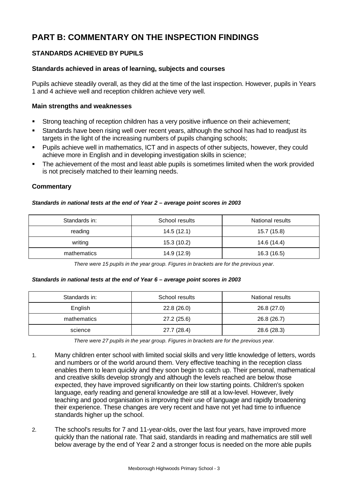# **PART B: COMMENTARY ON THE INSPECTION FINDINGS**

# **STANDARDS ACHIEVED BY PUPILS**

## **Standards achieved in areas of learning, subjects and courses**

Pupils achieve steadily overall, as they did at the time of the last inspection. However, pupils in Years 1 and 4 achieve well and reception children achieve very well.

#### **Main strengths and weaknesses**

- ß Strong teaching of reception children has a very positive influence on their achievement;
- Standards have been rising well over recent years, although the school has had to readjust its targets in the light of the increasing numbers of pupils changing schools;
- **Pupils achieve well in mathematics, ICT and in aspects of other subjects, however, they could** achieve more in English and in developing investigation skills in science;
- ß The achievement of the most and least able pupils is sometimes limited when the work provided is not precisely matched to their learning needs.

#### **Commentary**

#### *Standards in national tests at the end of Year 2 – average point scores in 2003*

| Standards in: | School results | National results |
|---------------|----------------|------------------|
| reading       | 14.5 (12.1)    | 15.7 (15.8)      |
| writing       | 15.3(10.2)     | 14.6 (14.4)      |
| mathematics   | 14.9 (12.9)    | 16.3 (16.5)      |

*There were 15 pupils in the year group. Figures in brackets are for the previous year.*

#### *Standards in national tests at the end of Year 6 – average point scores in 2003*

| Standards in: | School results | National results |
|---------------|----------------|------------------|
| English       | 22.8(26.0)     | 26.8 (27.0)      |
| mathematics   | 27.2(25.6)     | 26.8 (26.7)      |
| science       | 27.7 (28.4)    | 28.6 (28.3)      |

*There were 27 pupils in the year group. Figures in brackets are for the previous year.*

- 1. Many children enter school with limited social skills and very little knowledge of letters, words and numbers or of the world around them. Very effective teaching in the reception class enables them to learn quickly and they soon begin to catch up. Their personal, mathematical and creative skills develop strongly and although the levels reached are below those expected, they have improved significantly on their low starting points. Children's spoken language, early reading and general knowledge are still at a low-level. However, lively teaching and good organisation is improving their use of language and rapidly broadening their experience. These changes are very recent and have not yet had time to influence standards higher up the school.
- 2. The school's results for 7 and 11-year-olds, over the last four years, have improved more quickly than the national rate. That said, standards in reading and mathematics are still well below average by the end of Year 2 and a stronger focus is needed on the more able pupils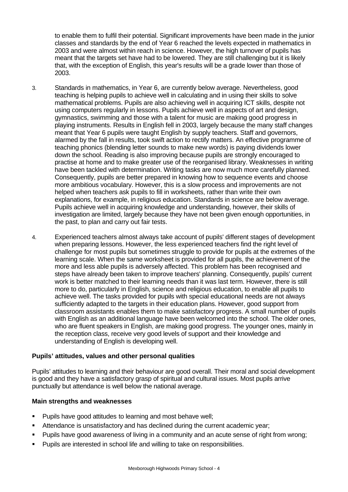to enable them to fulfil their potential. Significant improvements have been made in the junior classes and standards by the end of Year 6 reached the levels expected in mathematics in 2003 and were almost within reach in science. However, the high turnover of pupils has meant that the targets set have had to be lowered. They are still challenging but it is likely that, with the exception of English, this year's results will be a grade lower than those of 2003.

- 3. Standards in mathematics, in Year 6, are currently below average. Nevertheless, good teaching is helping pupils to achieve well in calculating and in using their skills to solve mathematical problems. Pupils are also achieving well in acquiring ICT skills, despite not using computers regularly in lessons. Pupils achieve well in aspects of art and design, gymnastics, swimming and those with a talent for music are making good progress in playing instruments. Results in English fell in 2003, largely because the many staff changes meant that Year 6 pupils were taught English by supply teachers. Staff and governors, alarmed by the fall in results, took swift action to rectify matters. An effective programme of teaching phonics (blending letter sounds to make new words) is paying dividends lower down the school. Reading is also improving because pupils are strongly encouraged to practise at home and to make greater use of the reorganised library. Weaknesses in writing have been tackled with determination. Writing tasks are now much more carefully planned. Consequently, pupils are better prepared in knowing how to sequence events and choose more ambitious vocabulary. However, this is a slow process and improvements are not helped when teachers ask pupils to fill in worksheets, rather than write their own explanations, for example, in religious education. Standards in science are below average. Pupils achieve well in acquiring knowledge and understanding, however, their skills of investigation are limited, largely because they have not been given enough opportunities, in the past, to plan and carry out fair tests.
- 4. Experienced teachers almost always take account of pupils' different stages of development when preparing lessons. However, the less experienced teachers find the right level of challenge for most pupils but sometimes struggle to provide for pupils at the extremes of the learning scale. When the same worksheet is provided for all pupils, the achievement of the more and less able pupils is adversely affected. This problem has been recognised and steps have already been taken to improve teachers' planning. Consequently, pupils' current work is better matched to their learning needs than it was last term. However, there is still more to do, particularly in English, science and religious education, to enable all pupils to achieve well. The tasks provided for pupils with special educational needs are not always sufficiently adapted to the targets in their education plans. However, good support from classroom assistants enables them to make satisfactory progress. A small number of pupils with English as an additional language have been welcomed into the school. The older ones, who are fluent speakers in English, are making good progress. The younger ones, mainly in the reception class, receive very good levels of support and their knowledge and understanding of English is developing well.

#### **Pupils' attitudes, values and other personal qualities**

Pupils' attitudes to learning and their behaviour are good overall. Their moral and social development is good and they have a satisfactory grasp of spiritual and cultural issues. Most pupils arrive punctually but attendance is well below the national average.

#### **Main strengths and weaknesses**

- ß Pupils have good attitudes to learning and most behave well;
- **K** Attendance is unsatisfactory and has declined during the current academic year;
- ß Pupils have good awareness of living in a community and an acute sense of right from wrong;
- **•** Pupils are interested in school life and willing to take on responsibilities.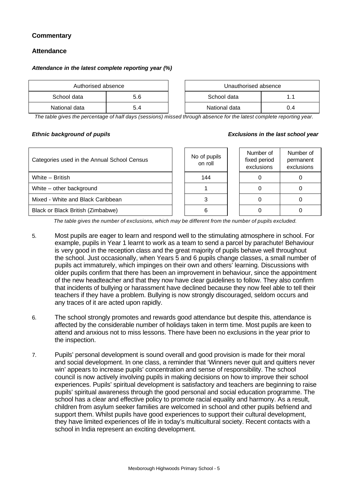# **Commentary**

#### **Attendance**

#### *Attendance in the latest complete reporting year (%)*

| Authorised absence |     |  | Unauthorised absence |     |
|--------------------|-----|--|----------------------|-----|
| School data        | 5.6 |  | School data          |     |
| National data      |     |  | National data        | U.4 |

*The table gives the percentage of half days (sessions) missed through absence for the latest complete reporting year.*

#### *Ethnic background of pupils Exclusions in the last school year*

| Categories used in the Annual School Census | No of pupils<br>on roll | Number of<br>fixed period<br>exclusions | Number of<br>permanent<br>exclusions |
|---------------------------------------------|-------------------------|-----------------------------------------|--------------------------------------|
| White - British                             | 144                     |                                         |                                      |
| White – other background                    |                         |                                         |                                      |
| Mixed - White and Black Caribbean           |                         |                                         |                                      |
| Black or Black British (Zimbabwe)           |                         |                                         |                                      |

*The table gives the number of exclusions, which may be different from the number of pupils excluded.*

- 5. Most pupils are eager to learn and respond well to the stimulating atmosphere in school. For example, pupils in Year 1 learnt to work as a team to send a parcel by parachute! Behaviour is very good in the reception class and the great majority of pupils behave well throughout the school. Just occasionally, when Years 5 and 6 pupils change classes, a small number of pupils act immaturely, which impinges on their own and others' learning. Discussions with older pupils confirm that there has been an improvement in behaviour, since the appointment of the new headteacher and that they now have clear guidelines to follow. They also confirm that incidents of bullying or harassment have declined because they now feel able to tell their teachers if they have a problem. Bullying is now strongly discouraged, seldom occurs and any traces of it are acted upon rapidly.
- 6. The school strongly promotes and rewards good attendance but despite this, attendance is affected by the considerable number of holidays taken in term time. Most pupils are keen to attend and anxious not to miss lessons. There have been no exclusions in the year prior to the inspection.
- 7. Pupils' personal development is sound overall and good provision is made for their moral and social development. In one class, a reminder that 'Winners never quit and quitters never win' appears to increase pupils' concentration and sense of responsibility. The school council is now actively involving pupils in making decisions on how to improve their school experiences. Pupils' spiritual development is satisfactory and teachers are beginning to raise pupils' spiritual awareness through the good personal and social education programme. The school has a clear and effective policy to promote racial equality and harmony. As a result, children from asylum seeker families are welcomed in school and other pupils befriend and support them. Whilst pupils have good experiences to support their cultural development, they have limited experiences of life in today's multicultural society. Recent contacts with a school in India represent an exciting development.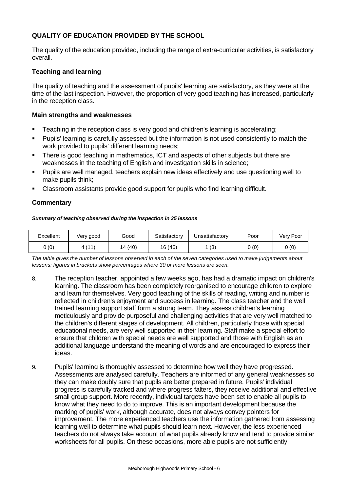# **QUALITY OF EDUCATION PROVIDED BY THE SCHOOL**

The quality of the education provided, including the range of extra-curricular activities, is satisfactory overall.

#### **Teaching and learning**

The quality of teaching and the assessment of pupils' learning are satisfactory, as they were at the time of the last inspection. However, the proportion of very good teaching has increased, particularly in the reception class.

#### **Main strengths and weaknesses**

- ß Teaching in the reception class is very good and children's learning is accelerating;
- ß Pupils' learning is carefully assessed but the information is not used consistently to match the work provided to pupils' different learning needs;
- There is good teaching in mathematics, ICT and aspects of other subjects but there are weaknesses in the teaching of English and investigation skills in science;
- ß Pupils are well managed, teachers explain new ideas effectively and use questioning well to make pupils think;
- ß Classroom assistants provide good support for pupils who find learning difficult.

#### **Commentary**

#### *Summary of teaching observed during the inspection in 35 lessons*

| Excellent | Very good  | Good   | Satisfactory | Unsatisfactory | Poor  | Verv Poor |
|-----------|------------|--------|--------------|----------------|-------|-----------|
| 0(0)      | 4(11)<br>. | 4 (40) | 16(46)       | 1 (3)          | 0 (0) | 0(0)      |

*The table gives the number of lessons observed in each of the seven categories used to make judgements about lessons; figures in brackets show percentages where 30 or more lessons are seen.*

- 8. The reception teacher, appointed a few weeks ago, has had a dramatic impact on children's learning. The classroom has been completely reorganised to encourage children to explore and learn for themselves. Very good teaching of the skills of reading, writing and number is reflected in children's enjoyment and success in learning. The class teacher and the well trained learning support staff form a strong team. They assess children's learning meticulously and provide purposeful and challenging activities that are very well matched to the children's different stages of development. All children, particularly those with special educational needs, are very well supported in their learning. Staff make a special effort to ensure that children with special needs are well supported and those with English as an additional language understand the meaning of words and are encouraged to express their ideas.
- 9. Pupils' learning is thoroughly assessed to determine how well they have progressed. Assessments are analysed carefully. Teachers are informed of any general weaknesses so they can make doubly sure that pupils are better prepared in future. Pupils' individual progress is carefully tracked and where progress falters, they receive additional and effective small group support. More recently, individual targets have been set to enable all pupils to know what they need to do to improve. This is an important development because the marking of pupils' work, although accurate, does not always convey pointers for improvement. The more experienced teachers use the information gathered from assessing learning well to determine what pupils should learn next. However, the less experienced teachers do not always take account of what pupils already know and tend to provide similar worksheets for all pupils. On these occasions, more able pupils are not sufficiently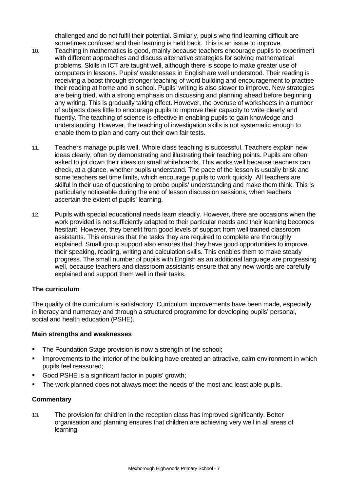challenged and do not fulfil their potential. Similarly, pupils who find learning difficult are sometimes confused and their learning is held back. This is an issue to improve.

- 10. Teaching in mathematics is good, mainly because teachers encourage pupils to experiment with different approaches and discuss alternative strategies for solving mathematical problems. Skills in ICT are taught well, although there is scope to make greater use of computers in lessons. Pupils' weaknesses in English are well understood. Their reading is receiving a boost through stronger teaching of word building and encouragement to practise their reading at home and in school. Pupils' writing is also slower to improve. New strategies are being tried, with a strong emphasis on discussing and planning ahead before beginning any writing. This is gradually taking effect. However, the overuse of worksheets in a number of subjects does little to encourage pupils to improve their capacity to write clearly and fluently. The teaching of science is effective in enabling pupils to gain knowledge and understanding. However, the teaching of investigation skills is not systematic enough to enable them to plan and carry out their own fair tests.
- 11. Teachers manage pupils well. Whole class teaching is successful. Teachers explain new ideas clearly, often by demonstrating and illustrating their teaching points. Pupils are often asked to jot down their ideas on small whiteboards. This works well because teachers can check, at a glance, whether pupils understand. The pace of the lesson is usually brisk and some teachers set time limits, which encourage pupils to work quickly. All teachers are skilful in their use of questioning to probe pupils' understanding and make them think. This is particularly noticeable during the end of lesson discussion sessions, when teachers ascertain the extent of pupils' learning.
- 12. Pupils with special educational needs learn steadily. However, there are occasions when the work provided is not sufficiently adapted to their particular needs and their learning becomes hesitant. However, they benefit from good levels of support from well trained classroom assistants. This ensures that the tasks they are required to complete are thoroughly explained. Small group support also ensures that they have good opportunities to improve their speaking, reading, writing and calculation skills. This enables them to make steady progress. The small number of pupils with English as an additional language are progressing well, because teachers and classroom assistants ensure that any new words are carefully explained and support them well in their tasks.

#### **The curriculum**

The quality of the curriculum is satisfactory. Curriculum improvements have been made, especially in literacy and numeracy and through a structured programme for developing pupils' personal, social and health education (PSHE).

#### **Main strengths and weaknesses**

- The Foundation Stage provision is now a strength of the school;
- **IMPROVEMENTS INCOVERGENT IN THE INTERTATION** THE interior of the building have created an attractive, calm environment in which pupils feel reassured;
- ß Good PSHE is a significant factor in pupils' growth;
- The work planned does not always meet the needs of the most and least able pupils.

#### **Commentary**

13. The provision for children in the reception class has improved significantly. Better organisation and planning ensures that children are achieving very well in all areas of learning.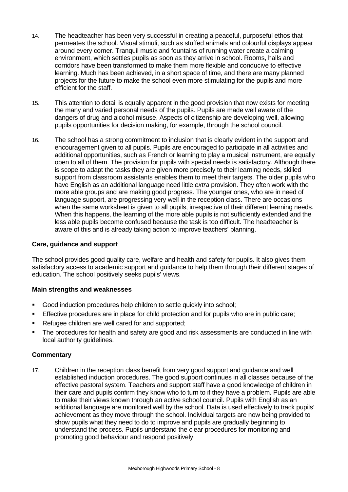- 14. The headteacher has been very successful in creating a peaceful, purposeful ethos that permeates the school. Visual stimuli, such as stuffed animals and colourful displays appear around every corner. Tranquil music and fountains of running water create a calming environment, which settles pupils as soon as they arrive in school. Rooms, halls and corridors have been transformed to make them more flexible and conducive to effective learning. Much has been achieved, in a short space of time, and there are many planned projects for the future to make the school even more stimulating for the pupils and more efficient for the staff.
- 15. This attention to detail is equally apparent in the good provision that now exists for meeting the many and varied personal needs of the pupils. Pupils are made well aware of the dangers of drug and alcohol misuse. Aspects of citizenship are developing well, allowing pupils opportunities for decision making, for example, through the school council.
- 16. The school has a strong commitment to inclusion that is clearly evident in the support and encouragement given to all pupils. Pupils are encouraged to participate in all activities and additional opportunities, such as French or learning to play a musical instrument, are equally open to all of them. The provision for pupils with special needs is satisfactory. Although there is scope to adapt the tasks they are given more precisely to their learning needs, skilled support from classroom assistants enables them to meet their targets. The older pupils who have English as an additional language need little *extra* provision. They often work with the more able groups and are making good progress. The younger ones, who are in need of language support, are progressing very well in the reception class. There are occasions when the same worksheet is given to all pupils, irrespective of their different learning needs. When this happens, the learning of the more able pupils is not sufficiently extended and the less able pupils become confused because the task is too difficult. The headteacher is aware of this and is already taking action to improve teachers' planning.

#### **Care, guidance and support**

The school provides good quality care, welfare and health and safety for pupils. It also gives them satisfactory access to academic support and guidance to help them through their different stages of education. The school positively seeks pupils' views.

#### **Main strengths and weaknesses**

- **Good induction procedures help children to settle quickly into school;**
- **Effective procedures are in place for child protection and for pupils who are in public care;**
- ß Refugee children are well cared for and supported;
- The procedures for health and safety are good and risk assessments are conducted in line with local authority guidelines.

#### **Commentary**

17. Children in the reception class benefit from very good support and guidance and well established induction procedures. The good support continues in all classes because of the effective pastoral system. Teachers and support staff have a good knowledge of children in their care and pupils confirm they know who to turn to if they have a problem. Pupils are able to make their views known through an active school council. Pupils with English as an additional language are monitored well by the school. Data is used effectively to track pupils' achievement as they move through the school. Individual targets are now being provided to show pupils what they need to do to improve and pupils are gradually beginning to understand the process. Pupils understand the clear procedures for monitoring and promoting good behaviour and respond positively.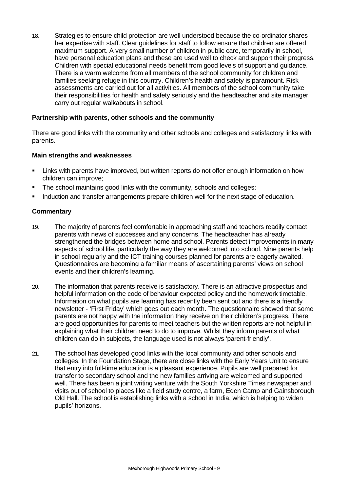18. Strategies to ensure child protection are well understood because the co-ordinator shares her expertise with staff. Clear guidelines for staff to follow ensure that children are offered maximum support. A very small number of children in public care, temporarily in school, have personal education plans and these are used well to check and support their progress. Children with special educational needs benefit from good levels of support and guidance. There is a warm welcome from all members of the school community for children and families seeking refuge in this country. Children's health and safety is paramount. Risk assessments are carried out for all activities. All members of the school community take their responsibilities for health and safety seriously and the headteacher and site manager carry out regular walkabouts in school.

#### **Partnership with parents, other schools and the community**

There are good links with the community and other schools and colleges and satisfactory links with parents.

#### **Main strengths and weaknesses**

- ß Links with parents have improved, but written reports do not offer enough information on how children can improve;
- The school maintains good links with the community, schools and colleges;
- ß Induction and transfer arrangements prepare children well for the next stage of education.

- 19. The majority of parents feel comfortable in approaching staff and teachers readily contact parents with news of successes and any concerns. The headteacher has already strengthened the bridges between home and school. Parents detect improvements in many aspects of school life, particularly the way they are welcomed into school. Nine parents help in school regularly and the ICT training courses planned for parents are eagerly awaited. Questionnaires are becoming a familiar means of ascertaining parents' views on school events and their children's learning.
- 20. The information that parents receive is satisfactory. There is an attractive prospectus and helpful information on the code of behaviour expected policy and the homework timetable. Information on what pupils are learning has recently been sent out and there is a friendly newsletter - 'First Friday' which goes out each month. The questionnaire showed that some parents are not happy with the information they receive on their children's progress. There are good opportunities for parents to meet teachers but the written reports are not helpful in explaining what their children need to do to improve. Whilst they inform parents of what children can do in subjects, the language used is not always 'parent-friendly'.
- 21. The school has developed good links with the local community and other schools and colleges. In the Foundation Stage, there are close links with the Early Years Unit to ensure that entry into full-time education is a pleasant experience. Pupils are well prepared for transfer to secondary school and the new families arriving are welcomed and supported well. There has been a joint writing venture with the South Yorkshire Times newspaper and visits out of school to places like a field study centre, a farm, Eden Camp and Gainsborough Old Hall. The school is establishing links with a school in India, which is helping to widen pupils' horizons.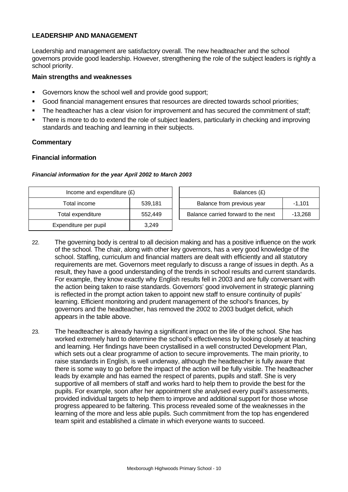#### **LEADERSHIP AND MANAGEMENT**

Leadership and management are satisfactory overall. The new headteacher and the school governors provide good leadership. However, strengthening the role of the subject leaders is rightly a school priority.

#### **Main strengths and weaknesses**

- **Governors know the school well and provide good support;**
- ß Good financial management ensures that resources are directed towards school priorities;
- The headteacher has a clear vision for improvement and has secured the commitment of staff;
- ß There is more to do to extend the role of subject leaders, particularly in checking and improving standards and teaching and learning in their subjects.

#### **Commentary**

#### **Financial information**

| Financial information for the year April 2002 to March 2003 |  |  |  |  |  |  |  |
|-------------------------------------------------------------|--|--|--|--|--|--|--|
|-------------------------------------------------------------|--|--|--|--|--|--|--|

| Income and expenditure $(E)$ |         | Balances (£)                        |           |
|------------------------------|---------|-------------------------------------|-----------|
| Total income                 | 539,181 | Balance from previous year          | $-1.101$  |
| Total expenditure            | 552,449 | Balance carried forward to the next | $-13,268$ |
| Expenditure per pupil        | 3,249   |                                     |           |

- 22. The governing body is central to all decision making and has a positive influence on the work of the school. The chair, along with other key governors, has a very good knowledge of the school. Staffing, curriculum and financial matters are dealt with efficiently and all statutory requirements are met. Governors meet regularly to discuss a range of issues in depth. As a result, they have a good understanding of the trends in school results and current standards. For example, they know exactly why English results fell in 2003 and are fully conversant with the action being taken to raise standards. Governors' good involvement in strategic planning is reflected in the prompt action taken to appoint new staff to ensure continuity of pupils' learning. Efficient monitoring and prudent management of the school's finances, by governors and the headteacher, has removed the 2002 to 2003 budget deficit, which appears in the table above.
- 23. The headteacher is already having a significant impact on the life of the school. She has worked extremely hard to determine the school's effectiveness by looking closely at teaching and learning. Her findings have been crystallised in a well constructed Development Plan, which sets out a clear programme of action to secure improvements. The main priority, to raise standards in English, is well underway, although the headteacher is fully aware that there is some way to go before the impact of the action will be fully visible. The headteacher leads by example and has earned the respect of parents, pupils and staff. She is very supportive of all members of staff and works hard to help them to provide the best for the pupils. For example, soon after her appointment she analysed every pupil's assessments, provided individual targets to help them to improve and additional support for those whose progress appeared to be faltering. This process revealed some of the weaknesses in the learning of the more and less able pupils. Such commitment from the top has engendered team spirit and established a climate in which everyone wants to succeed.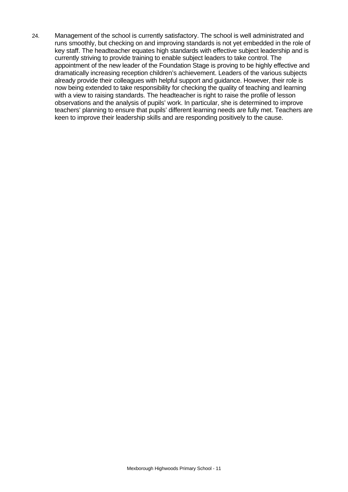24. Management of the school is currently satisfactory. The school is well administrated and runs smoothly, but checking on and improving standards is not yet embedded in the role of key staff. The headteacher equates high standards with effective subject leadership and is currently striving to provide training to enable subject leaders to take control. The appointment of the new leader of the Foundation Stage is proving to be highly effective and dramatically increasing reception children's achievement. Leaders of the various subjects already provide their colleagues with helpful support and guidance. However, their role is now being extended to take responsibility for checking the quality of teaching and learning with a view to raising standards. The headteacher is right to raise the profile of lesson observations and the analysis of pupils' work. In particular, she is determined to improve teachers' planning to ensure that pupils' different learning needs are fully met. Teachers are keen to improve their leadership skills and are responding positively to the cause.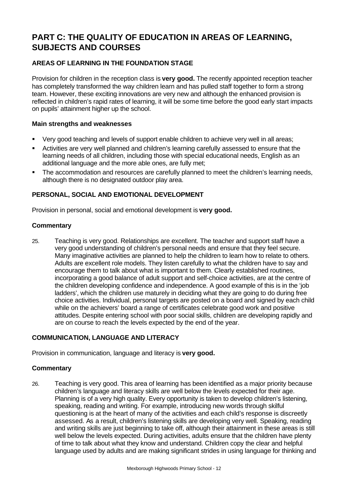# **PART C: THE QUALITY OF EDUCATION IN AREAS OF LEARNING, SUBJECTS AND COURSES**

# **AREAS OF LEARNING IN THE FOUNDATION STAGE**

Provision for children in the reception class is **very good.** The recently appointed reception teacher has completely transformed the way children learn and has pulled staff together to form a strong team. However, these exciting innovations are very new and although the enhanced provision is reflected in children's rapid rates of learning, it will be some time before the good early start impacts on pupils' attainment higher up the school.

#### **Main strengths and weaknesses**

- Very good teaching and levels of support enable children to achieve very well in all areas;
- **EXECT** Activities are very well planned and children's learning carefully assessed to ensure that the learning needs of all children, including those with special educational needs, English as an additional language and the more able ones, are fully met;
- The accommodation and resources are carefully planned to meet the children's learning needs, although there is no designated outdoor play area.

# **PERSONAL, SOCIAL AND EMOTIONAL DEVELOPMENT**

Provision in personal, social and emotional development is **very good.**

#### **Commentary**

25. Teaching is very good. Relationships are excellent. The teacher and support staff have a very good understanding of children's personal needs and ensure that they feel secure. Many imaginative activities are planned to help the children to learn how to relate to others. Adults are excellent role models. They listen carefully to what the children have to say and encourage them to talk about what is important to them. Clearly established routines, incorporating a good balance of adult support and self-choice activities, are at the centre of the children developing confidence and independence. A good example of this is in the 'job ladders', which the children use maturely in deciding what they are going to do during free choice activities. Individual, personal targets are posted on a board and signed by each child while on the achievers' board a range of certificates celebrate good work and positive attitudes. Despite entering school with poor social skills, children are developing rapidly and are on course to reach the levels expected by the end of the year.

#### **COMMUNICATION, LANGUAGE AND LITERACY**

Provision in communication, language and literacy is **very good.**

#### **Commentary**

26. Teaching is very good. This area of learning has been identified as a major priority because children's language and literacy skills are well below the levels expected for their age. Planning is of a very high quality. Every opportunity is taken to develop children's listening, speaking, reading and writing. For example, introducing new words through skilful questioning is at the heart of many of the activities and each child's response is discreetly assessed. As a result, children's listening skills are developing very well. Speaking, reading and writing skills are just beginning to take off, although their attainment in these areas is still well below the levels expected. During activities, adults ensure that the children have plenty of time to talk about what they know and understand. Children copy the clear and helpful language used by adults and are making significant strides in using language for thinking and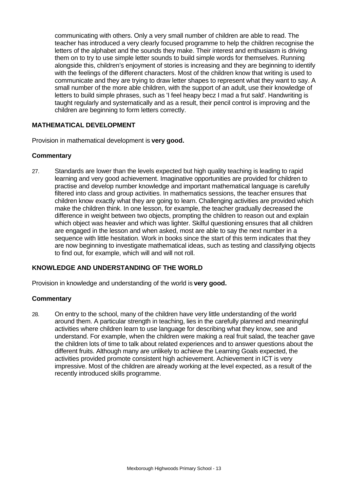communicating with others. Only a very small number of children are able to read. The teacher has introduced a very clearly focused programme to help the children recognise the letters of the alphabet and the sounds they make. Their interest and enthusiasm is driving them on to try to use simple letter sounds to build simple words for themselves. Running alongside this, children's enjoyment of stories is increasing and they are beginning to identify with the feelings of the different characters. Most of the children know that writing is used to communicate and they are trying to draw letter shapes to represent what they want to say. A small number of the more able children, with the support of an adult, use their knowledge of letters to build simple phrases, such as 'I feel heapy becz I mad a frut sald'. Handwriting is taught regularly and systematically and as a result, their pencil control is improving and the children are beginning to form letters correctly.

# **MATHEMATICAL DEVELOPMENT**

Provision in mathematical development is **very good.**

#### **Commentary**

27. Standards are lower than the levels expected but high quality teaching is leading to rapid learning and very good achievement. Imaginative opportunities are provided for children to practise and develop number knowledge and important mathematical language is carefully filtered into class and group activities. In mathematics sessions, the teacher ensures that children know exactly what they are going to learn. Challenging activities are provided which make the children think. In one lesson, for example, the teacher gradually decreased the difference in weight between two objects, prompting the children to reason out and explain which object was heavier and which was lighter. Skilful questioning ensures that all children are engaged in the lesson and when asked, most are able to say the next number in a sequence with little hesitation. Work in books since the start of this term indicates that they are now beginning to investigate mathematical ideas, such as testing and classifying objects to find out, for example, which will and will not roll.

#### **KNOWLEDGE AND UNDERSTANDING OF THE WORLD**

Provision in knowledge and understanding of the world is **very good.**

#### **Commentary**

28. On entry to the school, many of the children have very little understanding of the world around them. A particular strength in teaching, lies in the carefully planned and meaningful activities where children learn to use language for describing what they know, see and understand. For example, when the children were making a real fruit salad, the teacher gave the children lots of time to talk about related experiences and to answer questions about the different fruits. Although many are unlikely to achieve the Learning Goals expected, the activities provided promote consistent high achievement. Achievement in ICT is very impressive. Most of the children are already working at the level expected, as a result of the recently introduced skills programme.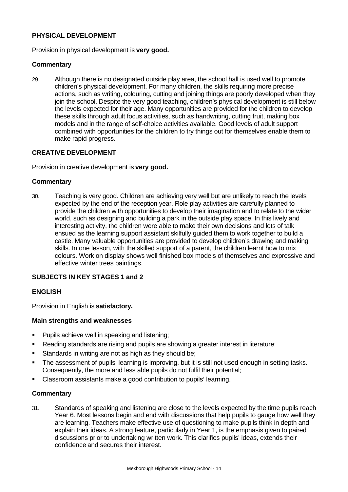# **PHYSICAL DEVELOPMENT**

Provision in physical development is **very good.**

#### **Commentary**

29. Although there is no designated outside play area, the school hall is used well to promote children's physical development. For many children, the skills requiring more precise actions, such as writing, colouring, cutting and joining things are poorly developed when they join the school. Despite the very good teaching, children's physical development is still below the levels expected for their age. Many opportunities are provided for the children to develop these skills through adult focus activities, such as handwriting, cutting fruit, making box models and in the range of self-choice activities available. Good levels of adult support combined with opportunities for the children to try things out for themselves enable them to make rapid progress.

#### **CREATIVE DEVELOPMENT**

Provision in creative development is **very good.**

#### **Commentary**

30. Teaching is very good. Children are achieving very well but are unlikely to reach the levels expected by the end of the reception year. Role play activities are carefully planned to provide the children with opportunities to develop their imagination and to relate to the wider world, such as designing and building a park in the outside play space. In this lively and interesting activity, the children were able to make their own decisions and lots of talk ensued as the learning support assistant skilfully guided them to work together to build a castle. Many valuable opportunities are provided to develop children's drawing and making skills. In one lesson, with the skilled support of a parent, the children learnt how to mix colours. Work on display shows well finished box models of themselves and expressive and effective winter trees paintings.

#### **SUBJECTS IN KEY STAGES 1 and 2**

#### **ENGLISH**

Provision in English is **satisfactory.**

#### **Main strengths and weaknesses**

- **Pupils achieve well in speaking and listening;**
- Reading standards are rising and pupils are showing a greater interest in literature;
- **Standards in writing are not as high as they should be;**
- The assessment of pupils' learning is improving, but it is still not used enough in setting tasks. Consequently, the more and less able pupils do not fulfil their potential;
- ß Classroom assistants make a good contribution to pupils' learning.

#### **Commentary**

31. Standards of speaking and listening are close to the levels expected by the time pupils reach Year 6. Most lessons begin and end with discussions that help pupils to gauge how well they are learning. Teachers make effective use of questioning to make pupils think in depth and explain their ideas. A strong feature, particularly in Year 1, is the emphasis given to paired discussions prior to undertaking written work. This clarifies pupils' ideas, extends their confidence and secures their interest.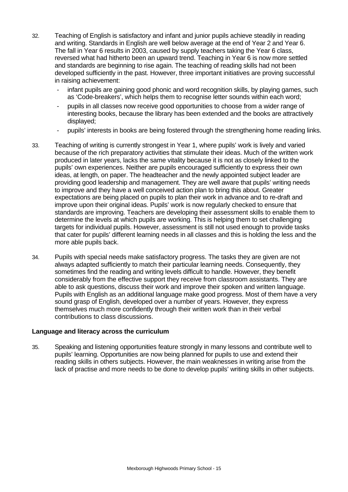- 32. Teaching of English is satisfactory and infant and junior pupils achieve steadily in reading and writing. Standards in English are well below average at the end of Year 2 and Year 6. The fall in Year 6 results in 2003, caused by supply teachers taking the Year 6 class, reversed what had hitherto been an upward trend. Teaching in Year 6 is now more settled and standards are beginning to rise again. The teaching of reading skills had not been developed sufficiently in the past. However, three important initiatives are proving successful in raising achievement:
	- infant pupils are gaining good phonic and word recognition skills, by playing games, such as 'Code-breakers', which helps them to recognise letter sounds within each word;
	- pupils in all classes now receive good opportunities to choose from a wider range of interesting books, because the library has been extended and the books are attractively displayed;
	- pupils' interests in books are being fostered through the strengthening home reading links.
- 33. Teaching of writing is currently strongest in Year 1, where pupils' work is lively and varied because of the rich preparatory activities that stimulate their ideas. Much of the written work produced in later years, lacks the same vitality because it is not as closely linked to the pupils' own experiences. Neither are pupils encouraged sufficiently to express their own ideas, at length, on paper. The headteacher and the newly appointed subject leader are providing good leadership and management. They are well aware that pupils' writing needs to improve and they have a well conceived action plan to bring this about. Greater expectations are being placed on pupils to plan their work in advance and to re-draft and improve upon their original ideas. Pupils' work is now regularly checked to ensure that standards are improving. Teachers are developing their assessment skills to enable them to determine the levels at which pupils are working. This is helping them to set challenging targets for individual pupils. However, assessment is still not used enough to provide tasks that cater for pupils' different learning needs in all classes and this is holding the less and the more able pupils back.
- 34. Pupils with special needs make satisfactory progress. The tasks they are given are not always adapted sufficiently to match their particular learning needs. Consequently, they sometimes find the reading and writing levels difficult to handle. However, they benefit considerably from the effective support they receive from classroom assistants. They are able to ask questions, discuss their work and improve their spoken and written language. Pupils with English as an additional language make good progress. Most of them have a very sound grasp of English, developed over a number of years. However, they express themselves much more confidently through their written work than in their verbal contributions to class discussions.

#### **Language and literacy across the curriculum**

35. Speaking and listening opportunities feature strongly in many lessons and contribute well to pupils' learning. Opportunities are now being planned for pupils to use and extend their reading skills in others subjects. However, the main weaknesses in writing arise from the lack of practise and more needs to be done to develop pupils' writing skills in other subjects.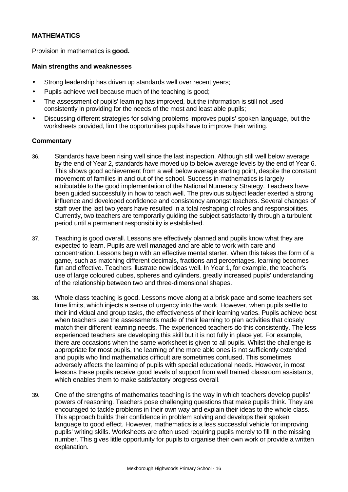# **MATHEMATICS**

Provision in mathematics is **good.**

#### **Main strengths and weaknesses**

- Strong leadership has driven up standards well over recent years;
- Pupils achieve well because much of the teaching is good;
- The assessment of pupils' learning has improved, but the information is still not used consistently in providing for the needs of the most and least able pupils;
- Discussing different strategies for solving problems improves pupils' spoken language, but the worksheets provided, limit the opportunities pupils have to improve their writing.

- 36. Standards have been rising well since the last inspection. Although still well below average by the end of Year 2, standards have moved up to below average levels by the end of Year 6. This shows good achievement from a well below average starting point, despite the constant movement of families in and out of the school. Success in mathematics is largely attributable to the good implementation of the National Numeracy Strategy. Teachers have been guided successfully in how to teach well. The previous subject leader exerted a strong influence and developed confidence and consistency amongst teachers. Several changes of staff over the last two years have resulted in a total reshaping of roles and responsibilities. Currently, two teachers are temporarily guiding the subject satisfactorily through a turbulent period until a permanent responsibility is established.
- 37. Teaching is good overall. Lessons are effectively planned and pupils know what they are expected to learn. Pupils are well managed and are able to work with care and concentration. Lessons begin with an effective mental starter. When this takes the form of a game, such as matching different decimals, fractions and percentages, learning becomes fun and effective. Teachers illustrate new ideas well. In Year 1, for example, the teacher's use of large coloured cubes, spheres and cylinders, greatly increased pupils' understanding of the relationship between two and three-dimensional shapes.
- 38. Whole class teaching is good. Lessons move along at a brisk pace and some teachers set time limits, which injects a sense of urgency into the work. However, when pupils settle to their individual and group tasks, the effectiveness of their learning varies. Pupils achieve best when teachers use the assessments made of their learning to plan activities that closely match their different learning needs. The experienced teachers do this consistently. The less experienced teachers are developing this skill but it is not fully in place yet. For example, there are occasions when the same worksheet is given to all pupils. Whilst the challenge is appropriate for most pupils, the learning of the more able ones is not sufficiently extended and pupils who find mathematics difficult are sometimes confused. This sometimes adversely affects the learning of pupils with special educational needs. However, in most lessons these pupils receive good levels of support from well trained classroom assistants, which enables them to make satisfactory progress overall.
- 39. One of the strengths of mathematics teaching is the way in which teachers develop pupils' powers of reasoning. Teachers pose challenging questions that make pupils think. They are encouraged to tackle problems in their own way and explain their ideas to the whole class. This approach builds their confidence in problem solving and develops their spoken language to good effect. However, mathematics is a less successful vehicle for improving pupils' writing skills. Worksheets are often used requiring pupils merely to fill in the missing number. This gives little opportunity for pupils to organise their own work or provide a written explanation.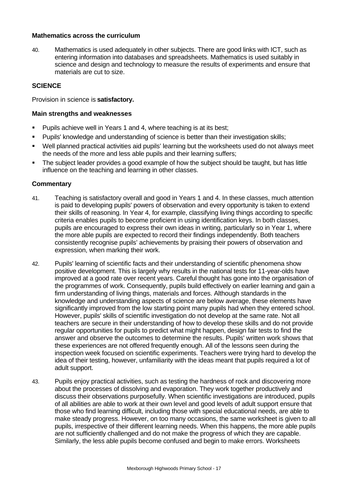#### **Mathematics across the curriculum**

40. Mathematics is used adequately in other subjects. There are good links with ICT, such as entering information into databases and spreadsheets. Mathematics is used suitably in science and design and technology to measure the results of experiments and ensure that materials are cut to size.

## **SCIENCE**

Provision in science is **satisfactory.**

#### **Main strengths and weaknesses**

- ß Pupils achieve well in Years 1 and 4, where teaching is at its best;
- **Pupils' knowledge and understanding of science is better than their investigation skills;**
- ß Well planned practical activities aid pupils' learning but the worksheets used do not always meet the needs of the more and less able pupils and their learning suffers;
- The subject leader provides a good example of how the subject should be taught, but has little influence on the teaching and learning in other classes.

- 41. Teaching is satisfactory overall and good in Years 1 and 4. In these classes, much attention is paid to developing pupils' powers of observation and every opportunity is taken to extend their skills of reasoning. In Year 4, for example, classifying living things according to specific criteria enables pupils to become proficient in using identification keys. In both classes, pupils are encouraged to express their own ideas in writing, particularly so in Year 1, where the more able pupils are expected to record their findings independently. Both teachers consistently recognise pupils' achievements by praising their powers of observation and expression, when marking their work.
- 42. Pupils' learning of scientific facts and their understanding of scientific phenomena show positive development. This is largely why results in the national tests for 11-year-olds have improved at a good rate over recent years. Careful thought has gone into the organisation of the programmes of work. Consequently, pupils build effectively on earlier learning and gain a firm understanding of living things, materials and forces. Although standards in the knowledge and understanding aspects of science are below average, these elements have significantly improved from the low starting point many pupils had when they entered school. However, pupils' skills of scientific investigation do not develop at the same rate. Not all teachers are secure in their understanding of how to develop these skills and do not provide regular opportunities for pupils to predict what might happen, design fair tests to find the answer and observe the outcomes to determine the results. Pupils' written work shows that these experiences are not offered frequently enough. All of the lessons seen during the inspection week focused on scientific experiments. Teachers were trying hard to develop the idea of their testing, however, unfamiliarity with the ideas meant that pupils required a lot of adult support.
- 43. Pupils enjoy practical activities, such as testing the hardness of rock and discovering more about the processes of dissolving and evaporation. They work together productively and discuss their observations purposefully. When scientific investigations are introduced, pupils of all abilities are able to work at their own level and good levels of adult support ensure that those who find learning difficult, including those with special educational needs, are able to make steady progress. However, on too many occasions, the same worksheet is given to all pupils, irrespective of their different learning needs. When this happens, the more able pupils are not sufficiently challenged and do not make the progress of which they are capable. Similarly, the less able pupils become confused and begin to make errors. Worksheets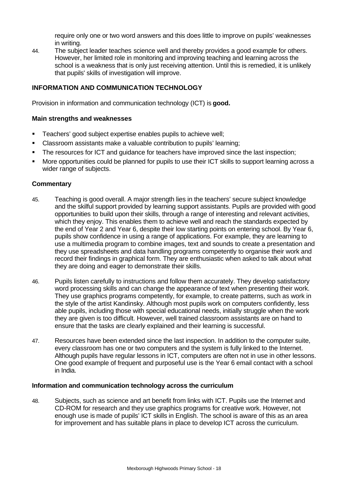require only one or two word answers and this does little to improve on pupils' weaknesses in writing.

44. The subject leader teaches science well and thereby provides a good example for others. However, her limited role in monitoring and improving teaching and learning across the school is a weakness that is only just receiving attention. Until this is remedied, it is unlikely that pupils' skills of investigation will improve.

## **INFORMATION AND COMMUNICATION TECHNOLOGY**

Provision in information and communication technology (ICT) is **good.**

#### **Main strengths and weaknesses**

- ß Teachers' good subject expertise enables pupils to achieve well;
- Classroom assistants make a valuable contribution to pupils' learning;
- ß The resources for ICT and guidance for teachers have improved since the last inspection;
- ß More opportunities could be planned for pupils to use their ICT skills to support learning across a wider range of subjects.

#### **Commentary**

- 45. Teaching is good overall. A major strength lies in the teachers' secure subject knowledge and the skilful support provided by learning support assistants. Pupils are provided with good opportunities to build upon their skills, through a range of interesting and relevant activities, which they enjoy. This enables them to achieve well and reach the standards expected by the end of Year 2 and Year 6, despite their low starting points on entering school. By Year 6, pupils show confidence in using a range of applications. For example, they are learning to use a multimedia program to combine images, text and sounds to create a presentation and they use spreadsheets and data handling programs competently to organise their work and record their findings in graphical form. They are enthusiastic when asked to talk about what they are doing and eager to demonstrate their skills.
- 46. Pupils listen carefully to instructions and follow them accurately. They develop satisfactory word processing skills and can change the appearance of text when presenting their work. They use graphics programs competently, for example, to create patterns, such as work in the style of the artist Kandinsky. Although most pupils work on computers confidently, less able pupils, including those with special educational needs, initially struggle when the work they are given is too difficult. However, well trained classroom assistants are on hand to ensure that the tasks are clearly explained and their learning is successful.
- 47. Resources have been extended since the last inspection. In addition to the computer suite, every classroom has one or two computers and the system is fully linked to the Internet. Although pupils have regular lessons in ICT, computers are often not in use in other lessons. One good example of frequent and purposeful use is the Year 6 email contact with a school in India.

#### **Information and communication technology across the curriculum**

48. Subjects, such as science and art benefit from links with ICT. Pupils use the Internet and CD-ROM for research and they use graphics programs for creative work. However, not enough use is made of pupils' ICT skills in English. The school is aware of this as an area for improvement and has suitable plans in place to develop ICT across the curriculum.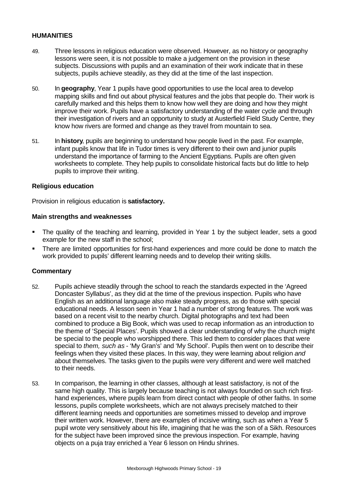#### **HUMANITIES**

- 49. Three lessons in religious education were observed. However, as no history or geography lessons were seen, it is not possible to make a judgement on the provision in these subjects. Discussions with pupils and an examination of their work indicate that in these subjects, pupils achieve steadily, as they did at the time of the last inspection.
- 50. In **geography**, Year 1 pupils have good opportunities to use the local area to develop mapping skills and find out about physical features and the jobs that people do. Their work is carefully marked and this helps them to know how well they are doing and how they might improve their work. Pupils have a satisfactory understanding of the water cycle and through their investigation of rivers and an opportunity to study at Austerfield Field Study Centre, they know how rivers are formed and change as they travel from mountain to sea.
- 51. In **history**, pupils are beginning to understand how people lived in the past. For example, infant pupils know that life in Tudor times is very different to their own and junior pupils understand the importance of farming to the Ancient Egyptians. Pupils are often given worksheets to complete. They help pupils to consolidate historical facts but do little to help pupils to improve their writing.

#### **Religious education**

Provision in religious education is **satisfactory.**

#### **Main strengths and weaknesses**

- The quality of the teaching and learning, provided in Year 1 by the subject leader, sets a good example for the new staff in the school;
- ß There are limited opportunities for first-hand experiences and more could be done to match the work provided to pupils' different learning needs and to develop their writing skills.

- 52. Pupils achieve steadily through the school to reach the standards expected in the 'Agreed Doncaster Syllabus', as they did at the time of the previous inspection. Pupils who have English as an additional language also make steady progress, as do those with special educational needs. A lesson seen in Year 1 had a number of strong features. The work was based on a recent visit to the nearby church. Digital photographs and text had been combined to produce a Big Book, which was used to recap information as an introduction to the theme of 'Special Places'. Pupils showed a clear understanding of why the church might be special to the people who worshipped there. This led them to consider places that were special to *them, such as* - 'My Gran's' and 'My School'. Pupils then went on to describe their feelings when they visited these places. In this way, they were learning about religion *and* about themselves. The tasks given to the pupils were very different and were well matched to their needs.
- 53. In comparison, the learning in other classes, although at least satisfactory, is not of the same high quality. This is largely because teaching is not always founded on such rich firsthand experiences, where pupils learn from direct contact with people of other faiths. In some lessons, pupils complete worksheets, which are not always precisely matched to their different learning needs and opportunities are sometimes missed to develop and improve their written work. However, there are examples of incisive writing, such as when a Year 5 pupil wrote very sensitively about his life, imagining that he was the son of a Sikh. Resources for the subject have been improved since the previous inspection. For example, having objects on a puja tray enriched a Year 6 lesson on Hindu shrines.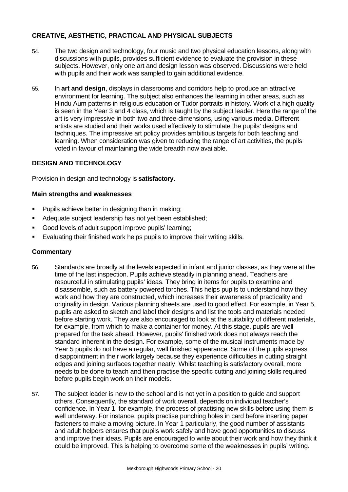# **CREATIVE, AESTHETIC, PRACTICAL AND PHYSICAL SUBJECTS**

- 54. The two design and technology, four music and two physical education lessons, along with discussions with pupils, provides sufficient evidence to evaluate the provision in these subjects. However, only one art and design lesson was observed. Discussions were held with pupils and their work was sampled to gain additional evidence.
- 55. In **art and design**, displays in classrooms and corridors help to produce an attractive environment for learning. The subject also enhances the learning in other areas, such as Hindu Aum patterns in religious education or Tudor portraits in history. Work of a high quality is seen in the Year 3 and 4 class, which is taught by the subject leader. Here the range of the art is very impressive in both two and three-dimensions, using various media. Different artists are studied and their works used effectively to stimulate the pupils' designs and techniques. The impressive art policy provides ambitious targets for both teaching and learning. When consideration was given to reducing the range of art activities, the pupils voted in favour of maintaining the wide breadth now available.

# **DESIGN AND TECHNOLOGY**

Provision in design and technology is **satisfactory.**

#### **Main strengths and weaknesses**

- ß Pupils achieve better in designing than in making;
- ß Adequate subject leadership has not yet been established;
- **Good levels of adult support improve pupils' learning;**
- ß Evaluating their finished work helps pupils to improve their writing skills.

- 56. Standards are broadly at the levels expected in infant and junior classes, as they were at the time of the last inspection. Pupils achieve steadily in planning ahead. Teachers are resourceful in stimulating pupils' ideas. They bring in items for pupils to examine and disassemble, such as battery powered torches. This helps pupils to understand how they work and how they are constructed, which increases their awareness of practicality and originality in design. Various planning sheets are used to good effect. For example, in Year 5, pupils are asked to sketch and label their designs and list the tools and materials needed before starting work. They are also encouraged to look at the suitability of different materials, for example, from which to make a container for money. At this stage, pupils are well prepared for the task ahead. However, pupils' finished work does not always reach the standard inherent in the design. For example, some of the musical instruments made by Year 5 pupils do not have a regular, well finished appearance. Some of the pupils express disappointment in their work largely because they experience difficulties in cutting straight edges and joining surfaces together neatly. Whilst teaching is satisfactory overall, more needs to be done to teach and then practise the specific cutting and joining skills required before pupils begin work on their models.
- 57. The subject leader is new to the school and is not yet in a position to guide and support others. Consequently, the standard of work overall, depends on individual teacher's confidence. In Year 1, for example, the process of practising new skills before using them is well underway. For instance, pupils practise punching holes in card before inserting paper fasteners to make a moving picture. In Year 1 particularly, the good number of assistants and adult helpers ensures that pupils work safely and have good opportunities to discuss and improve their ideas. Pupils are encouraged to write about their work and how they think it could be improved. This is helping to overcome some of the weaknesses in pupils' writing.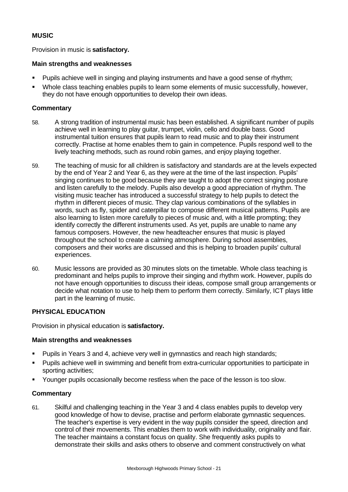# **MUSIC**

Provision in music is **satisfactory.**

# **Main strengths and weaknesses**

- ß Pupils achieve well in singing and playing instruments and have a good sense of rhythm;
- Whole class teaching enables pupils to learn some elements of music successfully, however, they do not have enough opportunities to develop their own ideas.

# **Commentary**

- 58. A strong tradition of instrumental music has been established. A significant number of pupils achieve well in learning to play guitar, trumpet, violin, cello and double bass. Good instrumental tuition ensures that pupils learn to read music and to play their instrument correctly. Practise at home enables them to gain in competence. Pupils respond well to the lively teaching methods, such as round robin games, and enjoy playing together.
- 59. The teaching of music for all children is satisfactory and standards are at the levels expected by the end of Year 2 and Year 6, as they were at the time of the last inspection. Pupils' singing continues to be good because they are taught to adopt the correct singing posture and listen carefully to the melody. Pupils also develop a good appreciation of rhythm. The visiting music teacher has introduced a successful strategy to help pupils to detect the rhythm in different pieces of music. They clap various combinations of the syllables in words, such as fly, spider and caterpillar to compose different musical patterns. Pupils are also learning to listen more carefully to pieces of music and, with a little prompting; they identify correctly the different instruments used. As yet, pupils are unable to name any famous composers. However, the new headteacher ensures that music is played throughout the school to create a calming atmosphere. During school assemblies, composers and their works are discussed and this is helping to broaden pupils' cultural experiences.
- 60. Music lessons are provided as 30 minutes slots on the timetable. Whole class teaching is predominant and helps pupils to improve their singing and rhythm work. However, pupils do not have enough opportunities to discuss their ideas, compose small group arrangements or decide what notation to use to help them to perform them correctly. Similarly, ICT plays little part in the learning of music.

#### **PHYSICAL EDUCATION**

Provision in physical education is **satisfactory.**

#### **Main strengths and weaknesses**

- ß Pupils in Years 3 and 4, achieve very well in gymnastics and reach high standards;
- ß Pupils achieve well in swimming and benefit from extra-curricular opportunities to participate in sporting activities;
- ß Younger pupils occasionally become restless when the pace of the lesson is too slow.

#### **Commentary**

61. Skilful and challenging teaching in the Year 3 and 4 class enables pupils to develop very good knowledge of how to devise, practise and perform elaborate gymnastic sequences. The teacher's expertise is very evident in the way pupils consider the speed, direction and control of their movements. This enables them to work with individuality, originality and flair. The teacher maintains a constant focus on quality. She frequently asks pupils to demonstrate their skills and asks others to observe and comment constructively on what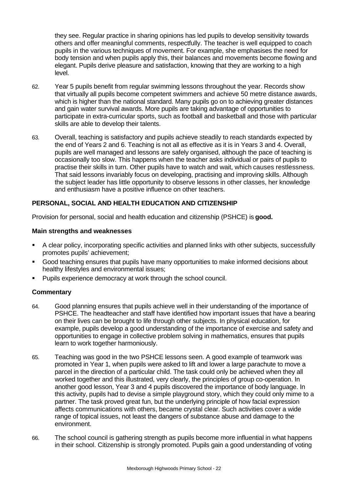they see. Regular practice in sharing opinions has led pupils to develop sensitivity towards others and offer meaningful comments, respectfully. The teacher is well equipped to coach pupils in the various techniques of movement. For example, she emphasises the need for body tension and when pupils apply this, their balances and movements become flowing and elegant. Pupils derive pleasure and satisfaction, knowing that they are working to a high level.

- 62. Year 5 pupils benefit from regular swimming lessons throughout the year. Records show that virtually all pupils become competent swimmers and achieve 50 metre distance awards, which is higher than the national standard. Many pupils go on to achieving greater distances and gain water survival awards. More pupils are taking advantage of opportunities to participate in extra-curricular sports, such as football and basketball and those with particular skills are able to develop their talents.
- 63. Overall, teaching is satisfactory and pupils achieve steadily to reach standards expected by the end of Years 2 and 6. Teaching is not all as effective as it is in Years 3 and 4. Overall, pupils are well managed and lessons are safely organised, although the pace of teaching is occasionally too slow. This happens when the teacher asks individual or pairs of pupils to practise their skills in turn. Other pupils have to watch and wait, which causes restlessness. That said lessons invariably focus on developing, practising and improving skills. Although the subject leader has little opportunity to observe lessons in other classes, her knowledge and enthusiasm have a positive influence on other teachers.

# **PERSONAL, SOCIAL AND HEALTH EDUCATION AND CITIZENSHIP**

Provision for personal, social and health education and citizenship (PSHCE) is **good.**

#### **Main strengths and weaknesses**

- ß A clear policy, incorporating specific activities and planned links with other subjects, successfully promotes pupils' achievement;
- ß Good teaching ensures that pupils have many opportunities to make informed decisions about healthy lifestyles and environmental issues;
- ß Pupils experience democracy at work through the school council.

- 64. Good planning ensures that pupils achieve well in their understanding of the importance of PSHCE. The headteacher and staff have identified how important issues that have a bearing on their lives can be brought to life through other subjects. In physical education, for example, pupils develop a good understanding of the importance of exercise and safety and opportunities to engage in collective problem solving in mathematics, ensures that pupils learn to work together harmoniously.
- 65. Teaching was good in the two PSHCE lessons seen. A good example of teamwork was promoted in Year 1, when pupils were asked to lift and lower a large parachute to move a parcel in the direction of a particular child. The task could only be achieved when they all worked together and this illustrated, very clearly, the principles of group co-operation. In another good lesson, Year 3 and 4 pupils discovered the importance of body language. In this activity, pupils had to devise a simple playground story, which they could only mime to a partner. The task proved great fun, but the underlying principle of how facial expression affects communications with others, became crystal clear. Such activities cover a wide range of topical issues, not least the dangers of substance abuse and damage to the environment.
- 66. The school council is gathering strength as pupils become more influential in what happens in their school. Citizenship is strongly promoted. Pupils gain a good understanding of voting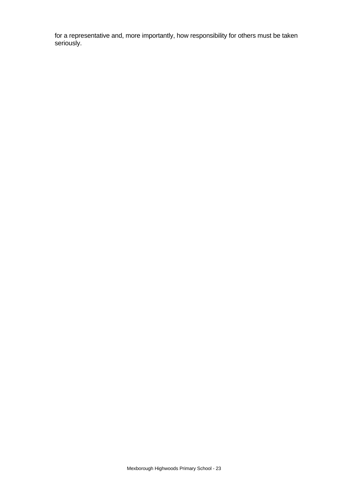for a representative and, more importantly, how responsibility for others must be taken seriously.